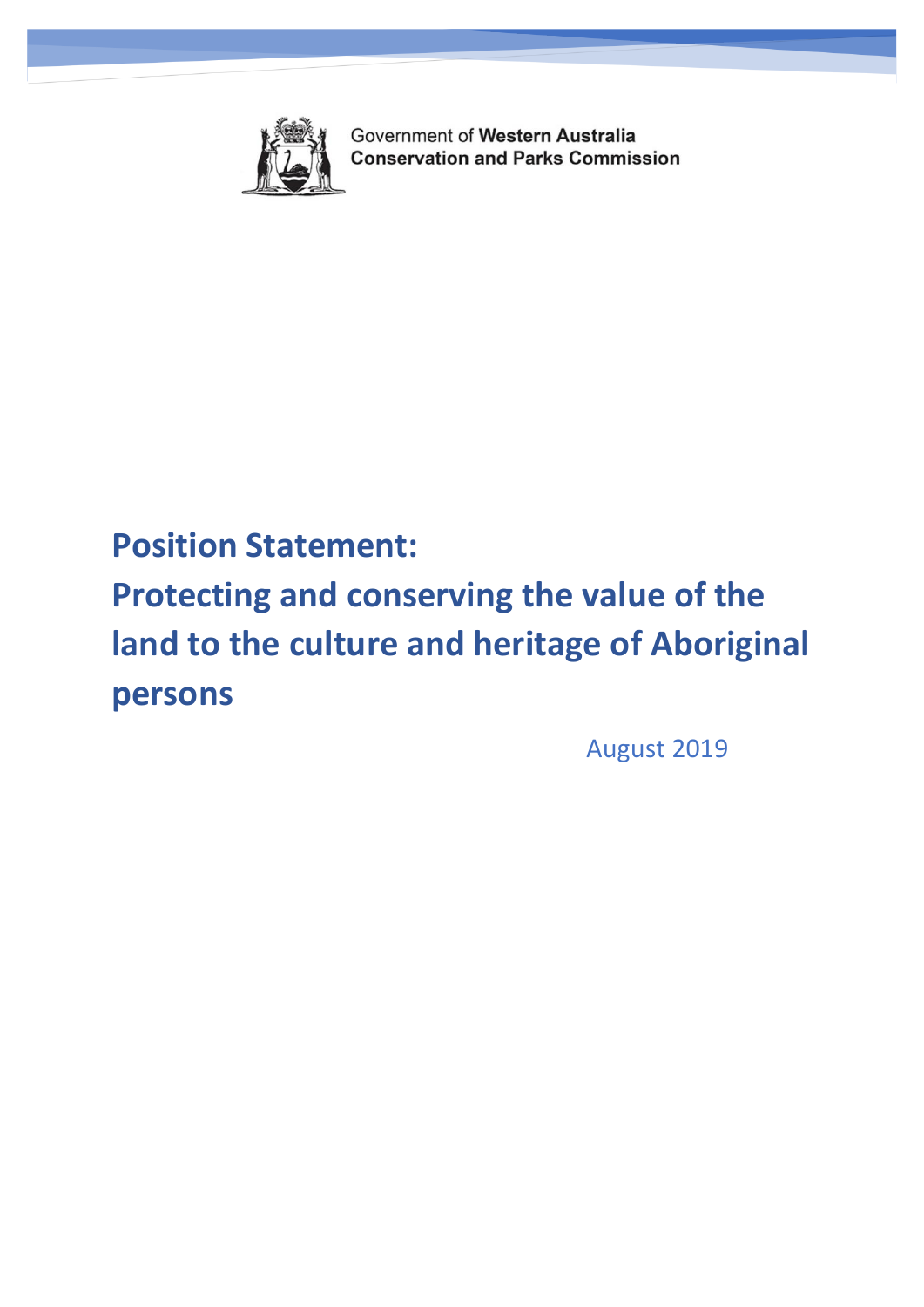

Government of Western Australia **Conservation and Parks Commission** 

# **Position Statement:**

**Protecting and conserving the value of the land to the culture and heritage of Aboriginal persons**

August 2019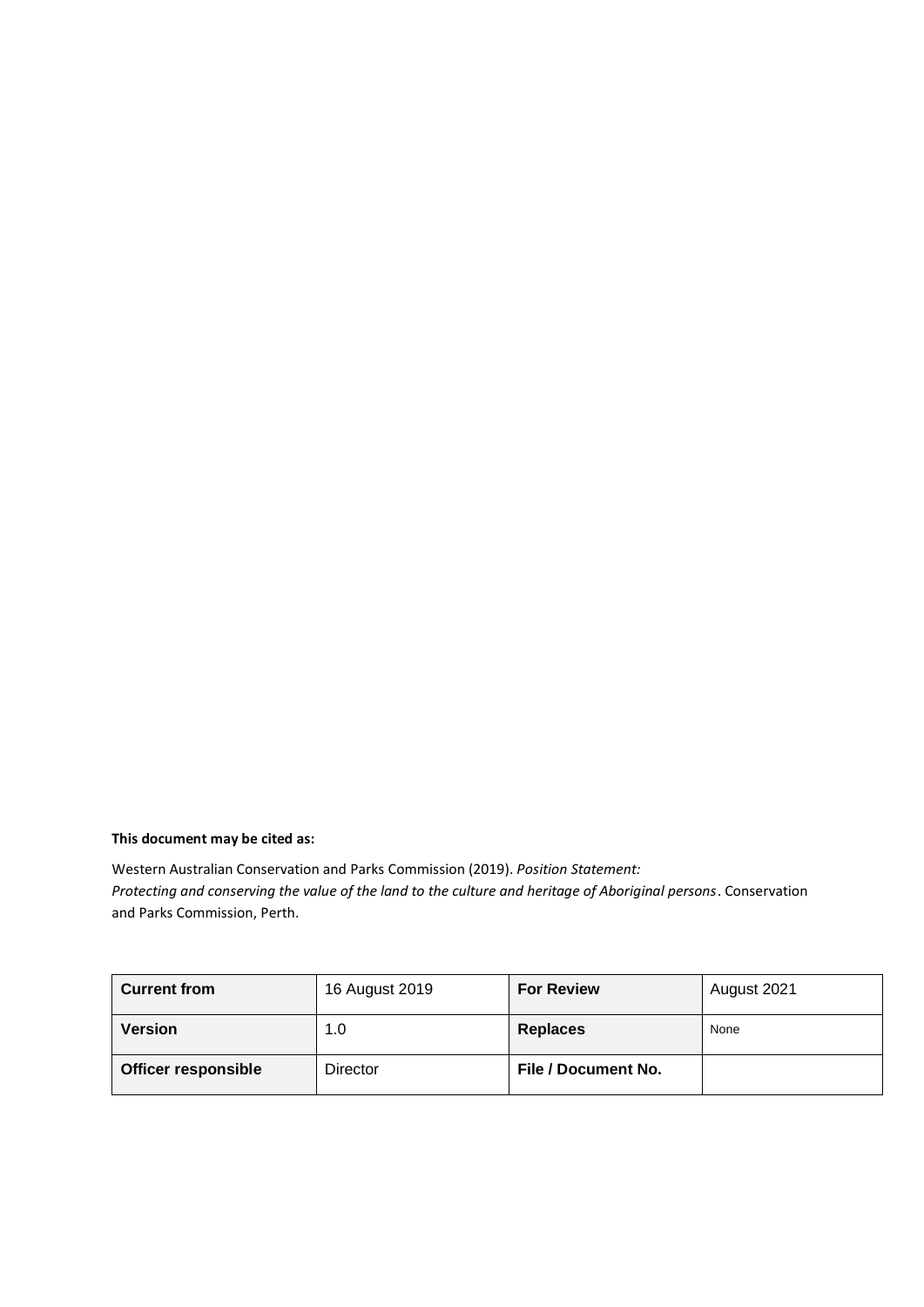#### **This document may be cited as:**

Western Australian Conservation and Parks Commission (2019). *Position Statement: Protecting and conserving the value of the land to the culture and heritage of Aboriginal persons*. Conservation and Parks Commission, Perth.

| <b>Current from</b>        | 16 August 2019  | <b>For Review</b>          | August 2021 |
|----------------------------|-----------------|----------------------------|-------------|
| <b>Version</b>             | 1.0             | <b>Replaces</b>            | None        |
| <b>Officer responsible</b> | <b>Director</b> | <b>File / Document No.</b> |             |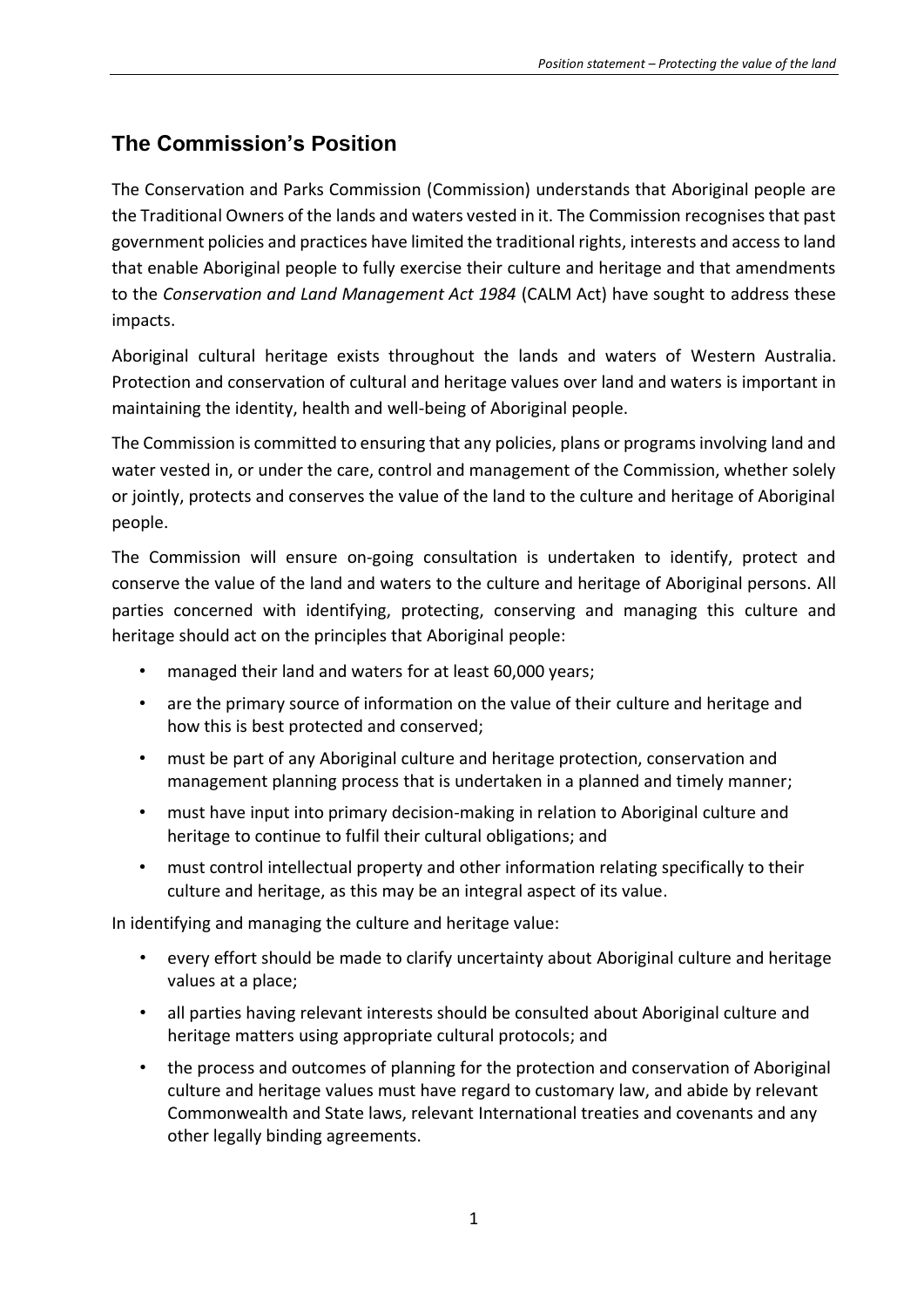## **The Commission's Position**

The Conservation and Parks Commission (Commission) understands that Aboriginal people are the Traditional Owners of the lands and waters vested in it. The Commission recognises that past government policies and practices have limited the traditional rights, interests and access to land that enable Aboriginal people to fully exercise their culture and heritage and that amendments to the *Conservation and Land Management Act 1984* (CALM Act) have sought to address these impacts.

Aboriginal cultural heritage exists throughout the lands and waters of Western Australia. Protection and conservation of cultural and heritage values over land and waters is important in maintaining the identity, health and well-being of Aboriginal people.

The Commission is committed to ensuring that any policies, plans or programs involving land and water vested in, or under the care, control and management of the Commission, whether solely or jointly, protects and conserves the value of the land to the culture and heritage of Aboriginal people.

The Commission will ensure on-going consultation is undertaken to identify, protect and conserve the value of the land and waters to the culture and heritage of Aboriginal persons. All parties concerned with identifying, protecting, conserving and managing this culture and heritage should act on the principles that Aboriginal people:

- managed their land and waters for at least 60,000 years;
- are the primary source of information on the value of their culture and heritage and how this is best protected and conserved;
- must be part of any Aboriginal culture and heritage protection, conservation and management planning process that is undertaken in a planned and timely manner;
- must have input into primary decision-making in relation to Aboriginal culture and heritage to continue to fulfil their cultural obligations; and
- must control intellectual property and other information relating specifically to their culture and heritage, as this may be an integral aspect of its value.

In identifying and managing the culture and heritage value:

- every effort should be made to clarify uncertainty about Aboriginal culture and heritage values at a place;
- all parties having relevant interests should be consulted about Aboriginal culture and heritage matters using appropriate cultural protocols; and
- the process and outcomes of planning for the protection and conservation of Aboriginal culture and heritage values must have regard to customary law, and abide by relevant Commonwealth and State laws, relevant International treaties and covenants and any other legally binding agreements.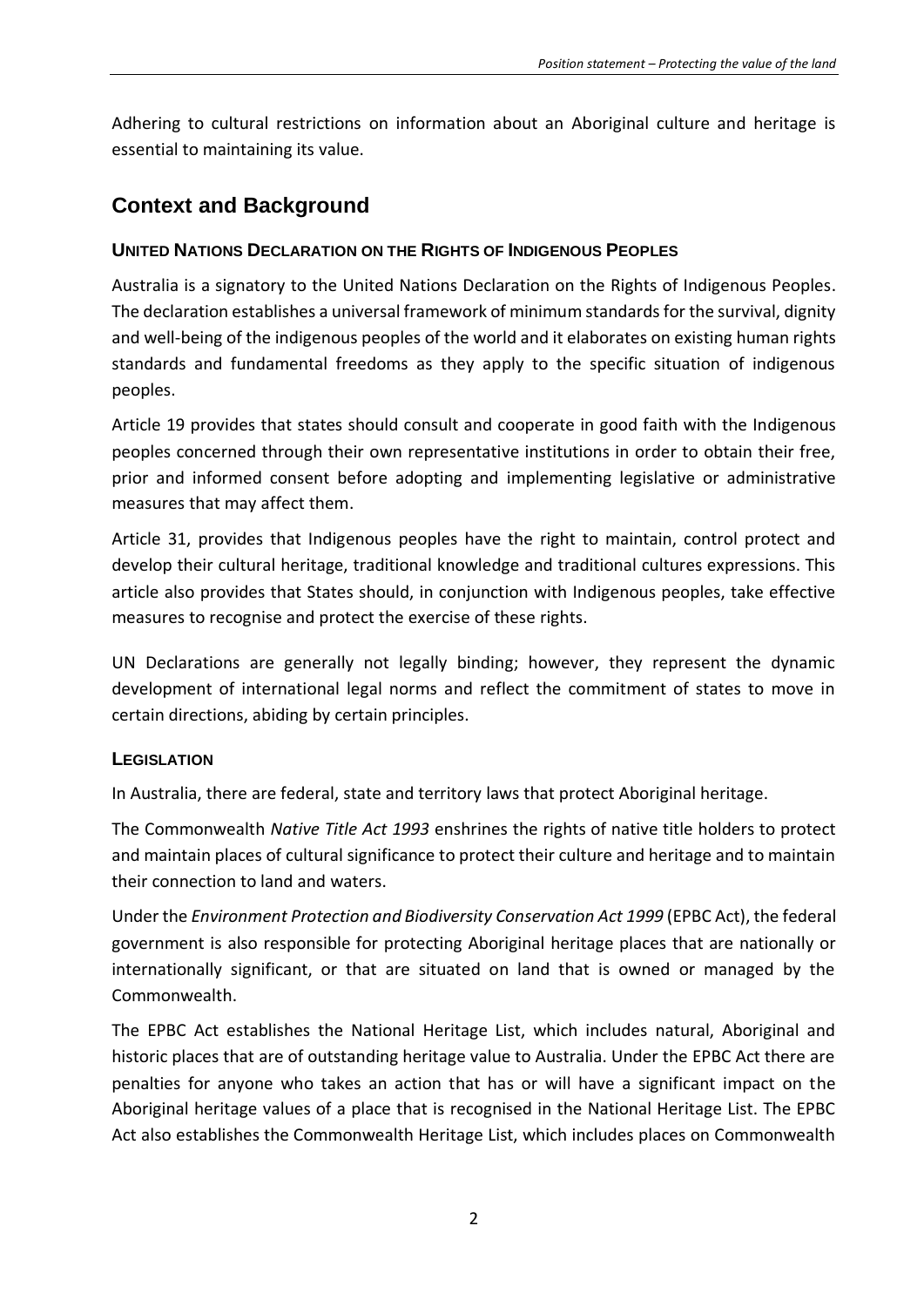Adhering to cultural restrictions on information about an Aboriginal culture and heritage is essential to maintaining its value.

## **Context and Background**

### **UNITED NATIONS DECLARATION ON THE RIGHTS OF INDIGENOUS PEOPLES**

Australia is a signatory to the United Nations Declaration on the Rights of Indigenous Peoples. The declaration establishes a universal framework of minimum standards for the survival, dignity and well-being of the indigenous peoples of the world and it elaborates on existing human rights standards and fundamental freedoms as they apply to the specific situation of indigenous peoples.

Article 19 provides that states should consult and cooperate in good faith with the Indigenous peoples concerned through their own representative institutions in order to obtain their free, prior and informed consent before adopting and implementing legislative or administrative measures that may affect them.

Article 31, provides that Indigenous peoples have the right to maintain, control protect and develop their cultural heritage, traditional knowledge and traditional cultures expressions. This article also provides that States should, in conjunction with Indigenous peoples, take effective measures to recognise and protect the exercise of these rights.

UN Declarations are generally not legally binding; however, they represent the dynamic development of international legal norms and reflect the commitment of states to move in certain directions, abiding by certain principles.

### **LEGISLATION**

In Australia, there are federal, state and territory laws that protect Aboriginal heritage.

The Commonwealth *Native Title Act 1993* enshrines the rights of native title holders to protect and maintain places of cultural significance to protect their culture and heritage and to maintain their connection to land and waters.

Under the *Environment Protection and Biodiversity Conservation Act 1999* (EPBC Act), the federal government is also responsible for protecting Aboriginal heritage places that are nationally or internationally significant, or that are situated on land that is owned or managed by the Commonwealth.

The EPBC Act establishes the National Heritage List, which includes natural, Aboriginal and historic places that are of outstanding heritage value to Australia. Under the EPBC Act there are penalties for anyone who takes an action that has or will have a significant impact on the Aboriginal heritage values of a place that is recognised in the National Heritage List. The EPBC Act also establishes the Commonwealth Heritage List, which includes places on Commonwealth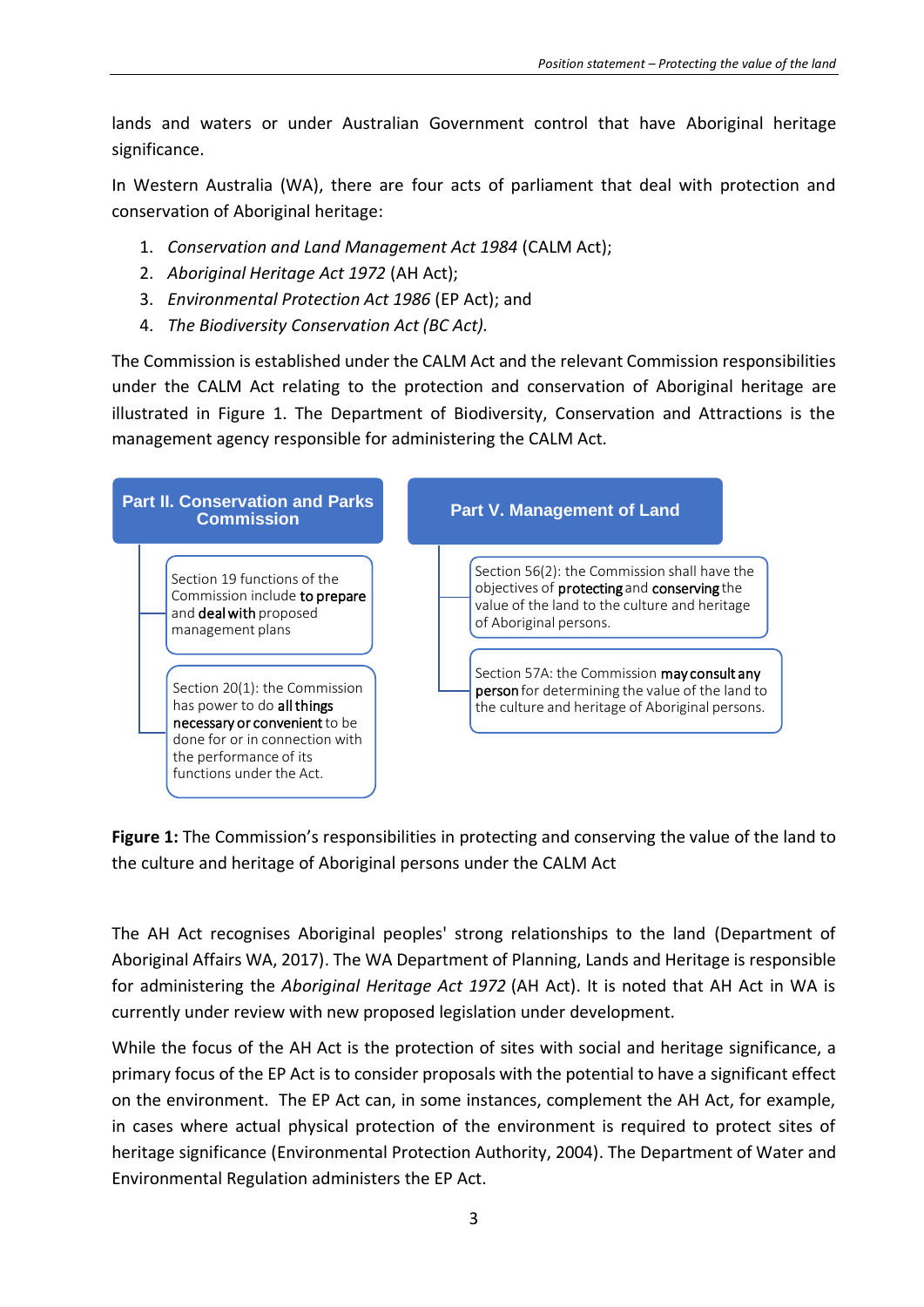lands and waters or under Australian Government control that have Aboriginal heritage significance.

In Western Australia (WA), there are four acts of parliament that deal with protection and conservation of Aboriginal heritage:

- 1. *Conservation and Land Management Act 1984* (CALM Act);
- 2. *Aboriginal Heritage Act 1972* (AH Act);
- 3. *Environmental Protection Act 1986* (EP Act); and
- 4. *The Biodiversity Conservation Act (BC Act).*

The Commission is established under the CALM Act and the relevant Commission responsibilities under the CALM Act relating to the protection and conservation of Aboriginal heritage are illustrated in Figure 1. The Department of Biodiversity, Conservation and Attractions is the management agency responsible for administering the CALM Act.



**Figure 1:** The Commission's responsibilities in protecting and conserving the value of the land to the culture and heritage of Aboriginal persons under the CALM Act

The AH Act recognises Aboriginal peoples' strong relationships to the land (Department of Aboriginal Affairs WA, 2017). The WA Department of Planning, Lands and Heritage is responsible for administering the *Aboriginal Heritage Act 1972* (AH Act). It is noted that AH Act in WA is currently under review with new proposed legislation under development.

While the focus of the AH Act is the protection of sites with social and heritage significance, a primary focus of the EP Act is to consider proposals with the potential to have a significant effect on the environment. The EP Act can, in some instances, complement the AH Act, for example, in cases where actual physical protection of the environment is required to protect sites of heritage significance (Environmental Protection Authority, 2004). The Department of Water and Environmental Regulation administers the EP Act.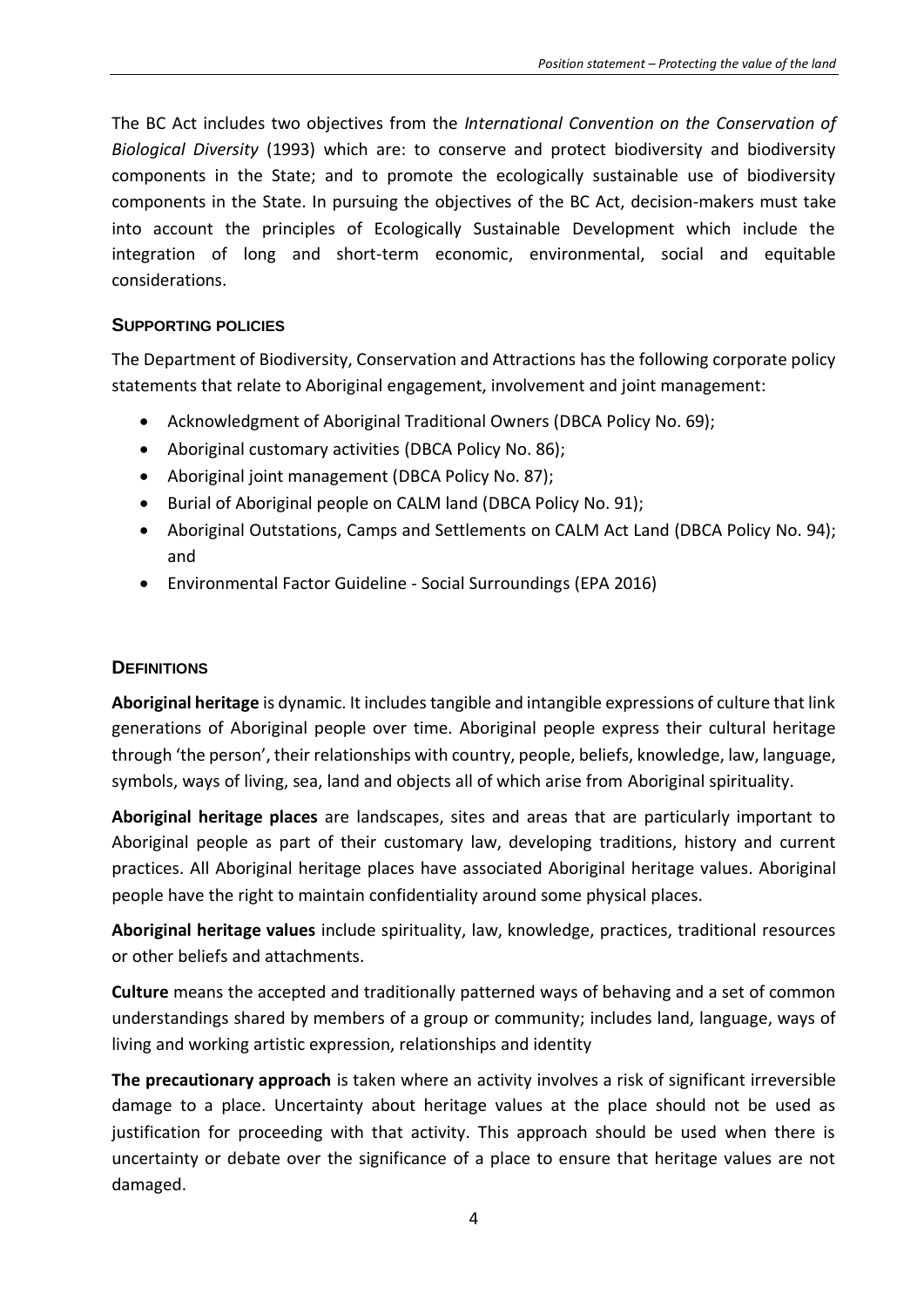The BC Act includes two objectives from the *International Convention on the Conservation of Biological Diversity* (1993) which are: to conserve and protect biodiversity and biodiversity components in the State; and to promote the ecologically sustainable use of biodiversity components in the State. In pursuing the objectives of the BC Act, decision-makers must take into account the principles of Ecologically Sustainable Development which include the integration of long and short-term economic, environmental, social and equitable considerations.

#### **SUPPORTING POLICIES**

The Department of Biodiversity, Conservation and Attractions has the following corporate policy statements that relate to Aboriginal engagement, involvement and joint management:

- [Acknowledgment of Aboriginal Traditional Owners \(DBCA Policy No.](https://www.dpaw.wa.gov.au/images/documents/about/policy/corporate_policy_statement_69_-_acknowledgement_of_aboriginal_traditional_owners_website.pdf) 69);
- Aboriginal customary activities (DBCA Policy No. 86);
- [Aboriginal joint management \(DBCA Policy No. 87\);](https://www.dpaw.wa.gov.au/images/documents/about/policy/corporate_policy_statement_87_aboriginal_joint_management.pdf)
- [Burial of Aboriginal people on CALM land \(DBCA Policy No.](https://www.dpaw.wa.gov.au/images/documents/about/policy/corporate_policy_statement_91_-_burial_of_aboriginal_people_on_calm_act_land.pdf) 91);
- [Aboriginal Outstations, Camps and Settlements on CALM Act Land \(DBCA Policy No.](https://www.dpaw.wa.gov.au/images/documents/about/policy/corporate_policy_statement_94_-_aboriginal_outstations_camps_and_settlements_website.pdf) 94); and
- Environmental Factor Guideline Social Surroundings (EPA 2016)

### **DEFINITIONS**

**Aboriginal heritage** is dynamic. It includes tangible and intangible expressions of culture that link generations of Aboriginal people over time. Aboriginal people express their cultural heritage through 'the person', their relationships with country, people, beliefs, knowledge, law, language, symbols, ways of living, sea, land and objects all of which arise from Aboriginal spirituality.

**Aboriginal heritage places** are landscapes, sites and areas that are particularly important to Aboriginal people as part of their customary law, developing traditions, history and current practices. All Aboriginal heritage places have associated Aboriginal heritage values. Aboriginal people have the right to maintain confidentiality around some physical places.

**Aboriginal heritage values** include spirituality, law, knowledge, practices, traditional resources or other beliefs and attachments.

**Culture** means the accepted and traditionally patterned ways of behaving and a set of common understandings shared by members of a group or community; includes land, language, ways of living and working artistic expression, relationships and identity

**The precautionary approach** is taken where an activity involves a risk of significant irreversible damage to a place. Uncertainty about heritage values at the place should not be used as justification for proceeding with that activity. This approach should be used when there is uncertainty or debate over the significance of a place to ensure that heritage values are not damaged.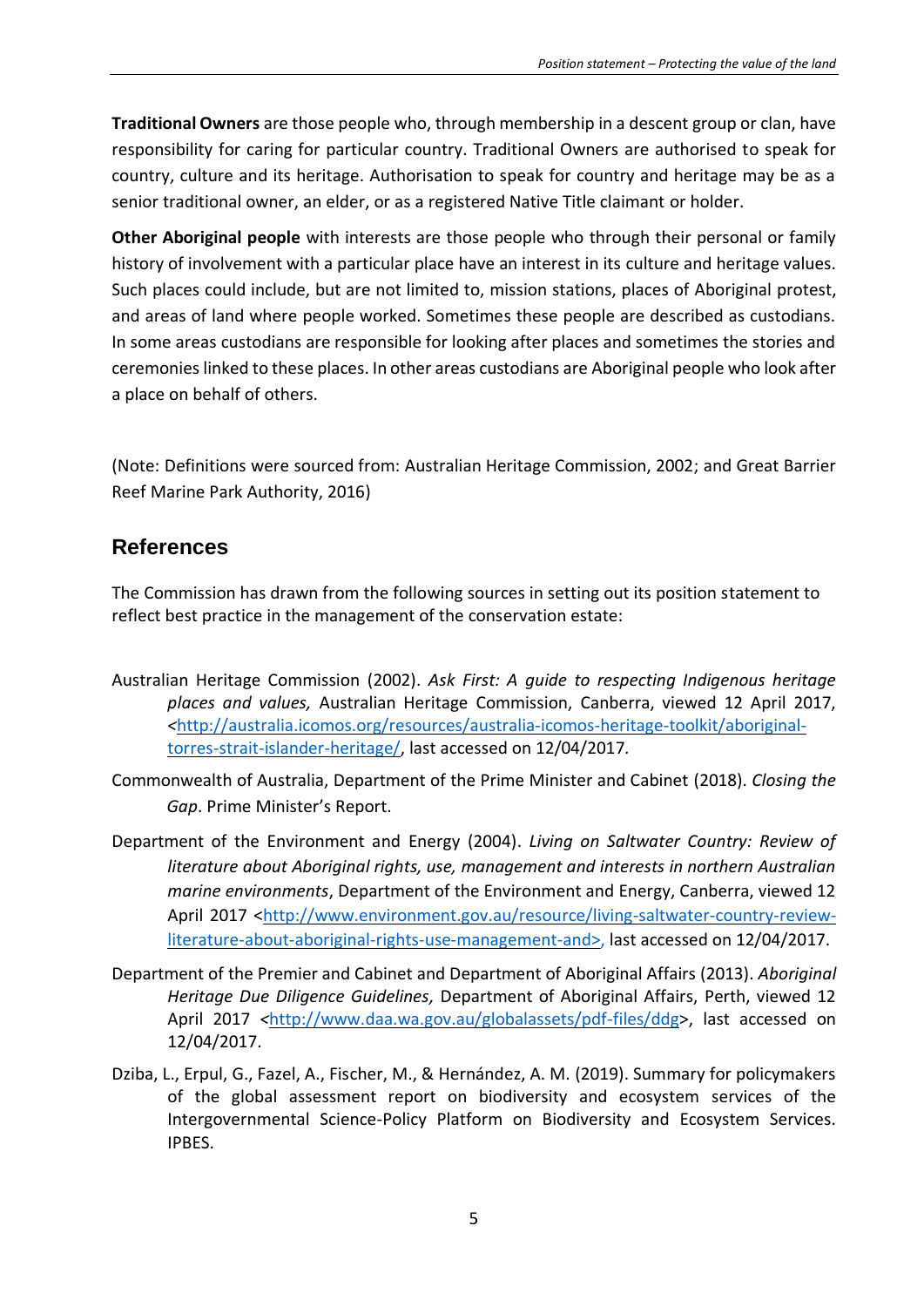**Traditional Owners** are those people who, through membership in a descent group or clan, have responsibility for caring for particular country. Traditional Owners are authorised to speak for country, culture and its heritage. Authorisation to speak for country and heritage may be as a senior traditional owner, an elder, or as a registered Native Title claimant or holder.

**Other Aboriginal people** with interests are those people who through their personal or family history of involvement with a particular place have an interest in its culture and heritage values. Such places could include, but are not limited to, mission stations, places of Aboriginal protest, and areas of land where people worked. Sometimes these people are described as custodians. In some areas custodians are responsible for looking after places and sometimes the stories and ceremonies linked to these places. In other areas custodians are Aboriginal people who look after a place on behalf of others.

(Note: Definitions were sourced from: Australian Heritage Commission, 2002; and Great Barrier Reef Marine Park Authority, 2016)

## **References**

The Commission has drawn from the following sources in setting out its position statement to reflect best practice in the management of the conservation estate:

- Australian Heritage Commission (2002). *Ask First: A guide to respecting Indigenous heritage places and values,* Australian Heritage Commission, Canberra, viewed 12 April 2017, *<*[http://australia.icomos.org/resources/australia-icomos-heritage-toolkit/aboriginal](http://australia.icomos.org/resources/australia-icomos-heritage-toolkit/aboriginal-torres-strait-islander-heritage/)[torres-strait-islander-heritage/,](http://australia.icomos.org/resources/australia-icomos-heritage-toolkit/aboriginal-torres-strait-islander-heritage/) last accessed on 12/04/2017*.*
- Commonwealth of Australia, Department of the Prime Minister and Cabinet (2018). *Closing the Gap*. Prime Minister's Report.
- Department of the Environment and Energy (2004). *Living on Saltwater Country: Review of literature about Aboriginal rights, use, management and interests in northern Australian marine environments*, Department of the Environment and Energy, Canberra, viewed 12 April 2017 [<http://www.environment.gov.au/resource/living-saltwater-country-review](http://www.environment.gov.au/resource/living-saltwater-country-review-literature-about-aboriginal-rights-use-management-and)[literature-about-aboriginal-rights-use-management-and>](http://www.environment.gov.au/resource/living-saltwater-country-review-literature-about-aboriginal-rights-use-management-and), last accessed on 12/04/2017.
- Department of the Premier and Cabinet and Department of Aboriginal Affairs (2013). *Aboriginal Heritage Due Diligence Guidelines,* Department of Aboriginal Affairs, Perth, viewed 12 April 2017 *<*[http://www.daa.wa.gov.au/globalassets/pdf-files/ddg>](http://www.daa.wa.gov.au/globalassets/pdf-files/ddg), last accessed on 12/04/2017.
- Dziba, L., Erpul, G., Fazel, A., Fischer, M., & Hernández, A. M. (2019). Summary for policymakers of the global assessment report on biodiversity and ecosystem services of the Intergovernmental Science-Policy Platform on Biodiversity and Ecosystem Services. IPBES.